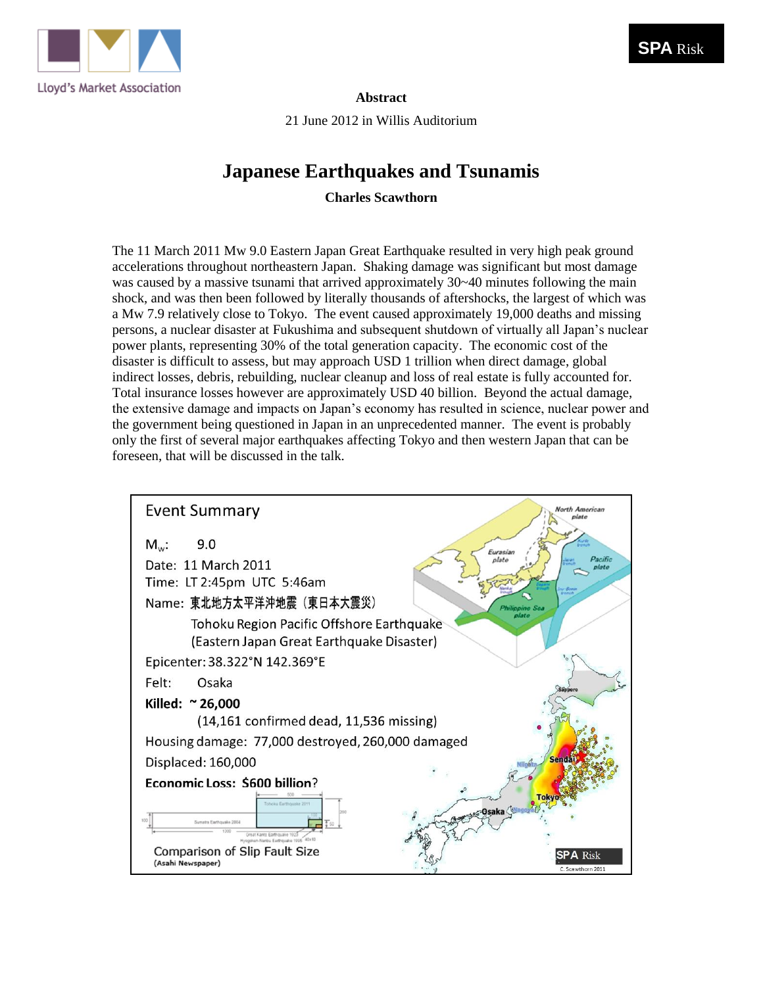

#### **Abstract**

21 June 2012 in Willis Auditorium

## **Japanese Earthquakes and Tsunamis**

**Charles Scawthorn**

The 11 March 2011 Mw 9.0 Eastern Japan Great Earthquake resulted in very high peak ground accelerations throughout northeastern Japan. Shaking damage was significant but most damage was caused by a massive tsunami that arrived approximately 30~40 minutes following the main shock, and was then been followed by literally thousands of aftershocks, the largest of which was a Mw 7.9 relatively close to Tokyo. The event caused approximately 19,000 deaths and missing persons, a nuclear disaster at Fukushima and subsequent shutdown of virtually all Japan's nuclear power plants, representing 30% of the total generation capacity. The economic cost of the disaster is difficult to assess, but may approach USD 1 trillion when direct damage, global indirect losses, debris, rebuilding, nuclear cleanup and loss of real estate is fully accounted for. Total insurance losses however are approximately USD 40 billion. Beyond the actual damage, the extensive damage and impacts on Japan's economy has resulted in science, nuclear power and the government being questioned in Japan in an unprecedented manner. The event is probably only the first of several major earthquakes affecting Tokyo and then western Japan that can be foreseen, that will be discussed in the talk.